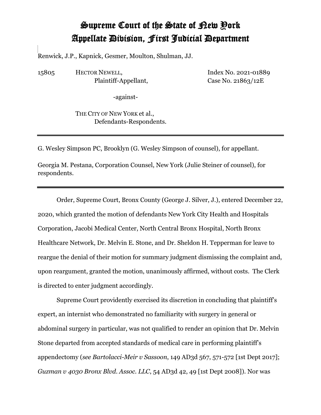## Supreme Court of the State of New York Appellate Division, First Judicial Department

Renwick, J.P., Kapnick, Gesmer, Moulton, Shulman, JJ.

15805 HECTOR NEWELL, Plaintiff-Appellant, Index No. 2021-01889 Case No. 21863/12E

-against-

THE CITY OF NEW YORK et al., Defendants-Respondents.

G. Wesley Simpson PC, Brooklyn (G. Wesley Simpson of counsel), for appellant.

Georgia M. Pestana, Corporation Counsel, New York (Julie Steiner of counsel), for respondents.

Order, Supreme Court, Bronx County (George J. Silver, J.), entered December 22, 2020, which granted the motion of defendants New York City Health and Hospitals Corporation, Jacobi Medical Center, North Central Bronx Hospital, North Bronx Healthcare Network, Dr. Melvin E. Stone, and Dr. Sheldon H. Tepperman for leave to reargue the denial of their motion for summary judgment dismissing the complaint and, upon reargument, granted the motion, unanimously affirmed, without costs. The Clerk is directed to enter judgment accordingly.

Supreme Court providently exercised its discretion in concluding that plaintiff's expert, an internist who demonstrated no familiarity with surgery in general or abdominal surgery in particular, was not qualified to render an opinion that Dr. Melvin Stone departed from accepted standards of medical care in performing plaintiff's appendectomy (*see Bartolacci-Meir v Sassoon*, 149 AD3d 567, 571-572 [1st Dept 2017]; *Guzman v 4030 Bronx Blvd. Assoc. LLC*, 54 AD3d 42, 49 [1st Dept 2008]). Nor was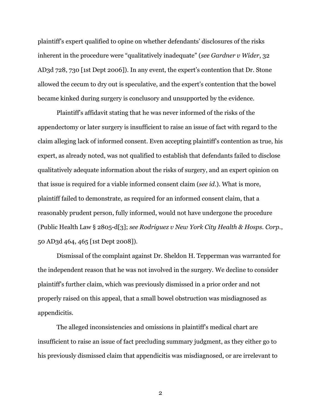plaintiff's expert qualified to opine on whether defendants' disclosures of the risks inherent in the procedure were "qualitatively inadequate" (*see Gardner v Wider*, 32 AD3d 728, 730 [1st Dept 2006]). In any event, the expert's contention that Dr. Stone allowed the cecum to dry out is speculative, and the expert's contention that the bowel became kinked during surgery is conclusory and unsupported by the evidence.

Plaintiff's affidavit stating that he was never informed of the risks of the appendectomy or later surgery is insufficient to raise an issue of fact with regard to the claim alleging lack of informed consent. Even accepting plaintiff's contention as true, his expert, as already noted, was not qualified to establish that defendants failed to disclose qualitatively adequate information about the risks of surgery, and an expert opinion on that issue is required for a viable informed consent claim (*see id.*). What is more, plaintiff failed to demonstrate, as required for an informed consent claim, that a reasonably prudent person, fully informed, would not have undergone the procedure (Public Health Law § 2805-d[3]; *see Rodriguez v New York City Health & Hosps. Corp.*, 50 AD3d 464, 465 [1st Dept 2008]).

Dismissal of the complaint against Dr. Sheldon H. Tepperman was warranted for the independent reason that he was not involved in the surgery. We decline to consider plaintiff's further claim, which was previously dismissed in a prior order and not properly raised on this appeal, that a small bowel obstruction was misdiagnosed as appendicitis.

The alleged inconsistencies and omissions in plaintiff's medical chart are insufficient to raise an issue of fact precluding summary judgment, as they either go to his previously dismissed claim that appendicitis was misdiagnosed, or are irrelevant to

2